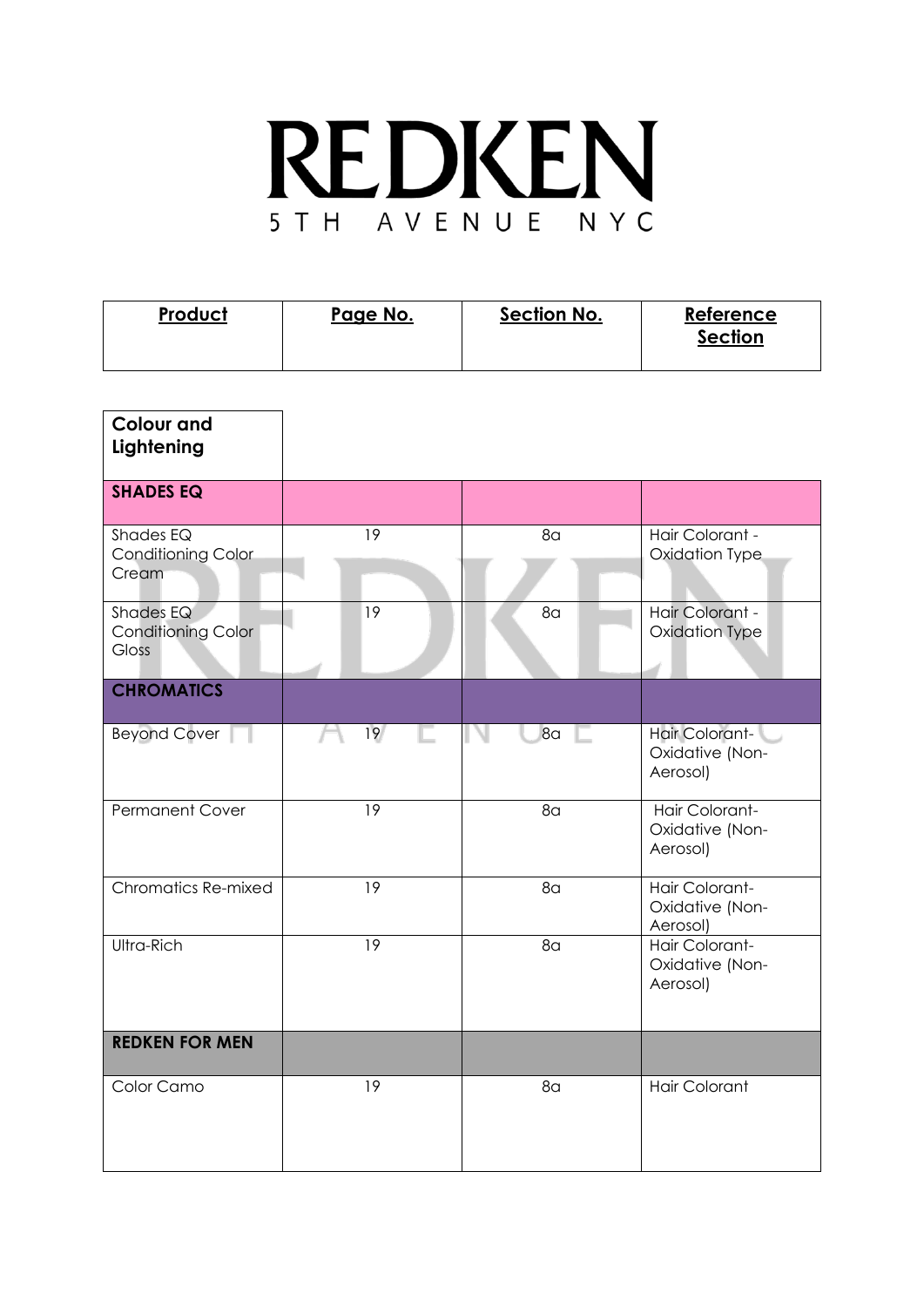## REDKEN 5 T H A V E N U E N Y C

| <b>Product</b> | Page No. | <b>Section No.</b> | Reference<br><b>Section</b> |
|----------------|----------|--------------------|-----------------------------|
|                |          |                    |                             |

| <b>Colour and</b><br>Lightening                        |    |                |                                               |
|--------------------------------------------------------|----|----------------|-----------------------------------------------|
| <b>SHADES EQ</b>                                       |    |                |                                               |
| Shades EQ<br><b>Conditioning Color</b><br>Cream        | 19 | 8 <sub>a</sub> | Hair Colorant -<br>Oxidation Type             |
| Shades EQ<br><b>Conditioning Color</b><br><b>Gloss</b> | 19 | 8 <sub>a</sub> | Hair Colorant -<br>Oxidation Type             |
| <b>CHROMATICS</b>                                      |    |                |                                               |
| <b>Beyond Cover</b>                                    | 19 | 8 <sub>a</sub> | Hair Colorant-<br>Oxidative (Non-<br>Aerosol) |
| <b>Permanent Cover</b>                                 | 19 | 8 <sub>a</sub> | Hair Colorant-<br>Oxidative (Non-<br>Aerosol) |
| Chromatics Re-mixed                                    | 19 | 8 <sub>G</sub> | Hair Colorant-<br>Oxidative (Non-<br>Aerosol) |
| Ultra-Rich                                             | 19 | 8 <sub>a</sub> | Hair Colorant-<br>Oxidative (Non-<br>Aerosol) |
| <b>REDKEN FOR MEN</b>                                  |    |                |                                               |
| Color Camo                                             | 19 | 8 <sub>a</sub> | <b>Hair Colorant</b>                          |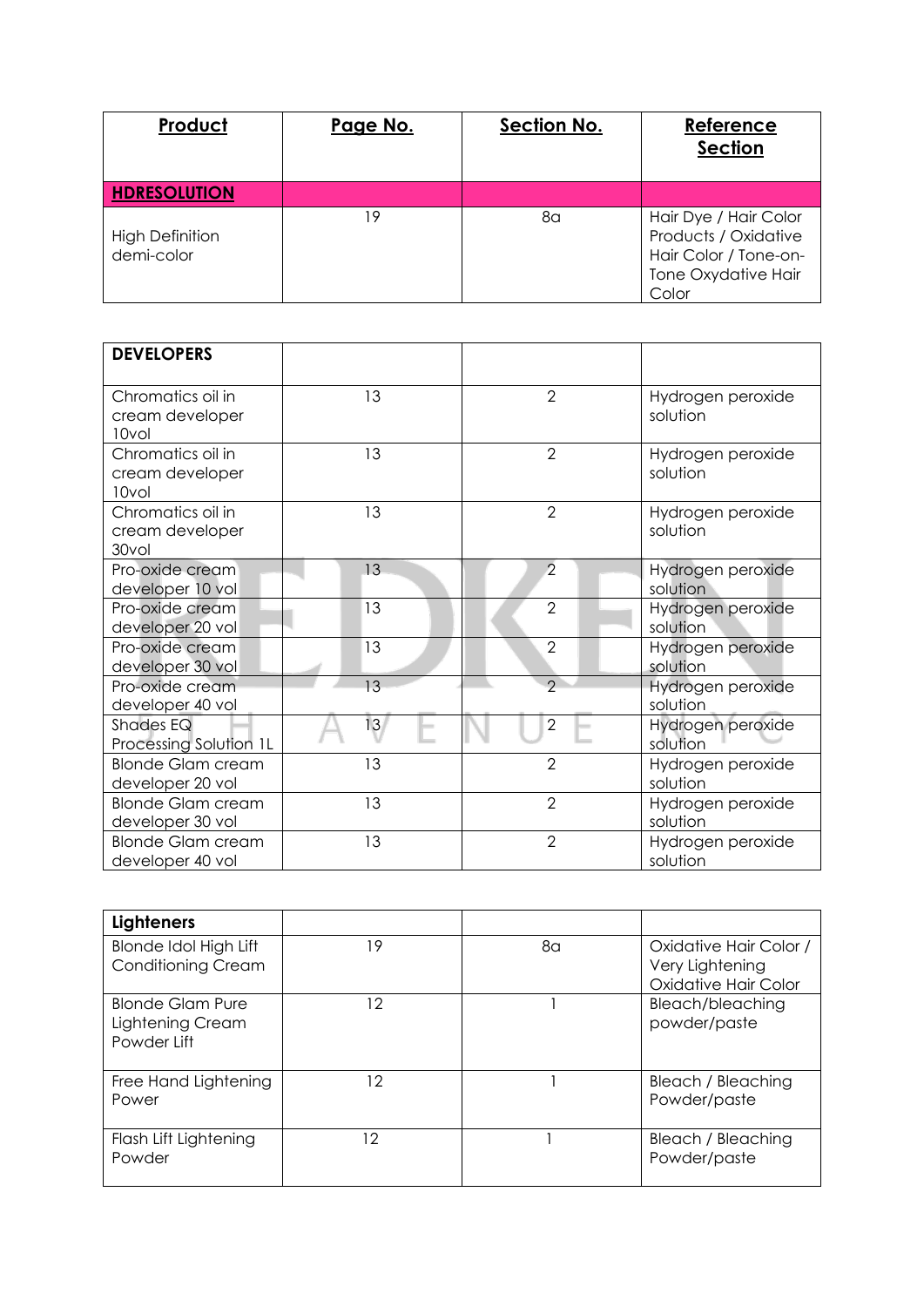| Product                              | Page No. | Section No. | Reference<br><b>Section</b>                                                                            |
|--------------------------------------|----------|-------------|--------------------------------------------------------------------------------------------------------|
| <b>HDRESOLUTION</b>                  |          |             |                                                                                                        |
| <b>High Definition</b><br>demi-color | 19       | 8a          | Hair Dye / Hair Color<br>Products / Oxidative<br>Hair Color / Tone-on-<br>Tone Oxydative Hair<br>Color |

| <b>DEVELOPERS</b>                             |    |                |                               |
|-----------------------------------------------|----|----------------|-------------------------------|
| Chromatics oil in<br>cream developer<br>10vol | 13 | $\overline{2}$ | Hydrogen peroxide<br>solution |
| Chromatics oil in<br>cream developer<br>10vol | 13 | $\overline{2}$ | Hydrogen peroxide<br>solution |
| Chromatics oil in<br>cream developer<br>30vol | 13 | $\overline{2}$ | Hydrogen peroxide<br>solution |
| Pro-oxide cream<br>developer 10 vol           | 13 | $\overline{2}$ | Hydrogen peroxide<br>solution |
| Pro-oxide cream<br>developer 20 vol           | 13 | $\overline{2}$ | Hydrogen peroxide<br>solution |
| Pro-oxide cream<br>developer 30 vol           | 13 | $\overline{2}$ | Hydrogen peroxide<br>solution |
| Pro-oxide cream<br>developer 40 vol           | 13 | $\overline{2}$ | Hydrogen peroxide<br>solution |
| Shades EQ<br>Processing Solution 1L           | 13 | $\overline{2}$ | Hydrogen peroxide<br>solution |
| <b>Blonde Glam cream</b><br>developer 20 vol  | 13 | $\overline{2}$ | Hydrogen peroxide<br>solution |
| <b>Blonde Glam cream</b><br>developer 30 vol  | 13 | $\overline{2}$ | Hydrogen peroxide<br>solution |
| <b>Blonde Glam cream</b><br>developer 40 vol  | 13 | $\overline{2}$ | Hydrogen peroxide<br>solution |

| <b>Lighteners</b>                                          |    |    |                                                          |
|------------------------------------------------------------|----|----|----------------------------------------------------------|
| <b>Blonde Idol High Lift</b><br><b>Conditioning Cream</b>  | 19 | 8α | Oxidative Hair Color /<br>Very Lightening                |
| <b>Blonde Glam Pure</b><br>Lightening Cream<br>Powder Lift | 12 |    | Oxidative Hair Color<br>Bleach/bleaching<br>powder/paste |
| Free Hand Lightening<br>Power                              | 12 |    | Bleach / Bleaching<br>Powder/paste                       |
| Flash Lift Lightening<br>Powder                            | 12 |    | Bleach / Bleaching<br>Powder/paste                       |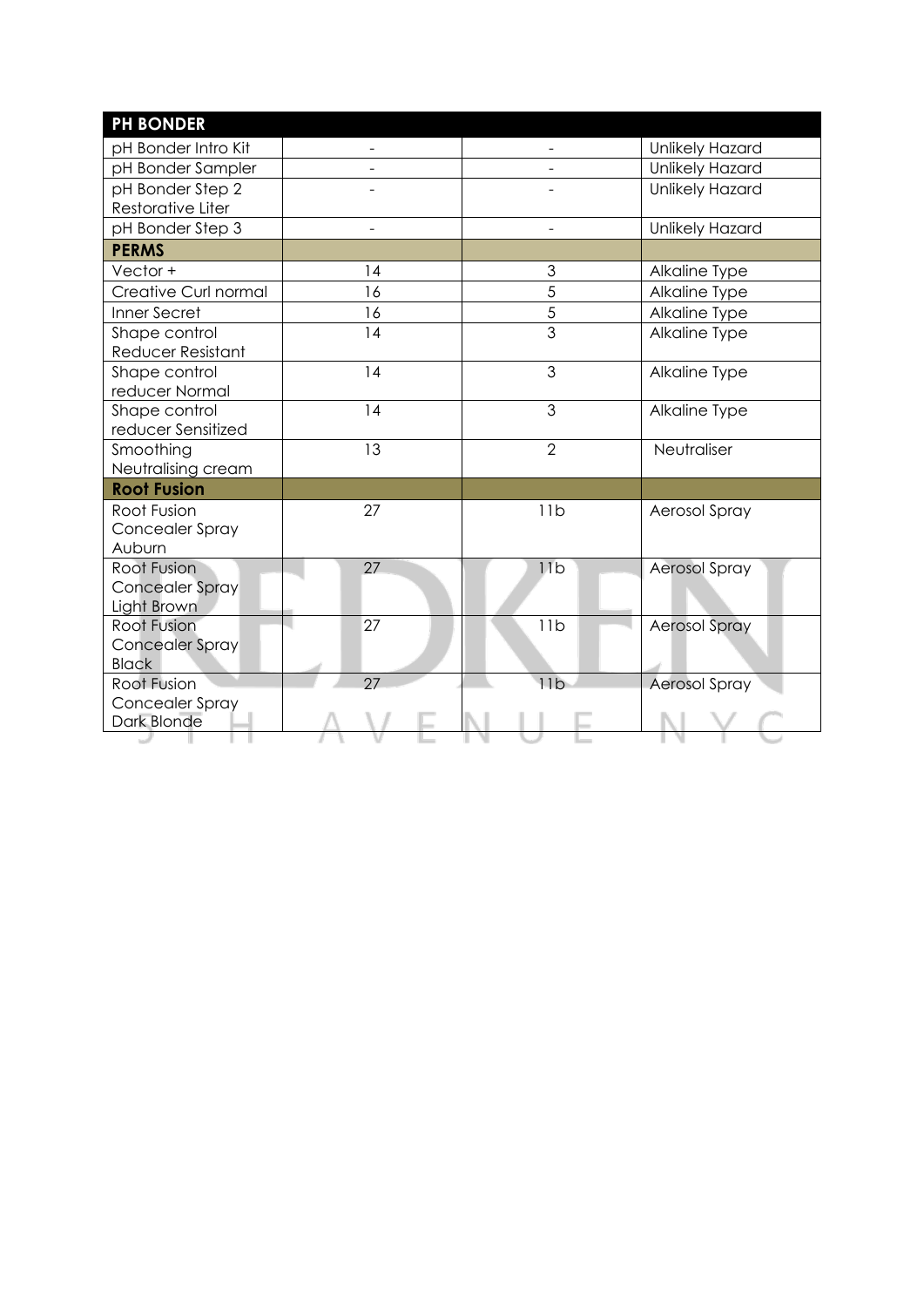| <b>PH BONDER</b>                               |                |                |                        |
|------------------------------------------------|----------------|----------------|------------------------|
| pH Bonder Intro Kit                            |                |                | Unlikely Hazard        |
| pH Bonder Sampler                              |                |                | <b>Unlikely Hazard</b> |
| pH Bonder Step 2<br>Restorative Liter          |                |                | Unlikely Hazard        |
| pH Bonder Step 3                               | $\overline{a}$ | $\mathbf{r}$   | Unlikely Hazard        |
| <b>PERMS</b>                                   |                |                |                        |
| Vector +                                       | 14             | 3              | Alkaline Type          |
| Creative Curl normal                           | 16             | 5              | Alkaline Type          |
| Inner Secret                                   | 16             | $\overline{5}$ | Alkaline Type          |
| Shape control<br>Reducer Resistant             | 14             | $\overline{3}$ | Alkaline Type          |
| Shape control<br>reducer Normal                | 14             | 3              | Alkaline Type          |
| Shape control<br>reducer Sensitized            | 14             | 3              | Alkaline Type          |
| Smoothing<br>Neutralising cream                | 13             | $\overline{2}$ | Neutraliser            |
| <b>Root Fusion</b>                             |                |                |                        |
| Root Fusion<br>Concealer Spray<br>Auburn       | 27             | 11b            | Aerosol Spray          |
| Root Fusion<br>Concealer Spray<br>Light Brown  | 27             | 11b            | <b>Aerosol Spray</b>   |
| Root Fusion<br>Concealer Spray<br><b>Black</b> | 27             | 11b            | <b>Aerosol Spray</b>   |
| Root Fusion<br>Concealer Spray                 | 27             | 11b            | <b>Aerosol Spray</b>   |
| Dark Blonde                                    |                |                |                        |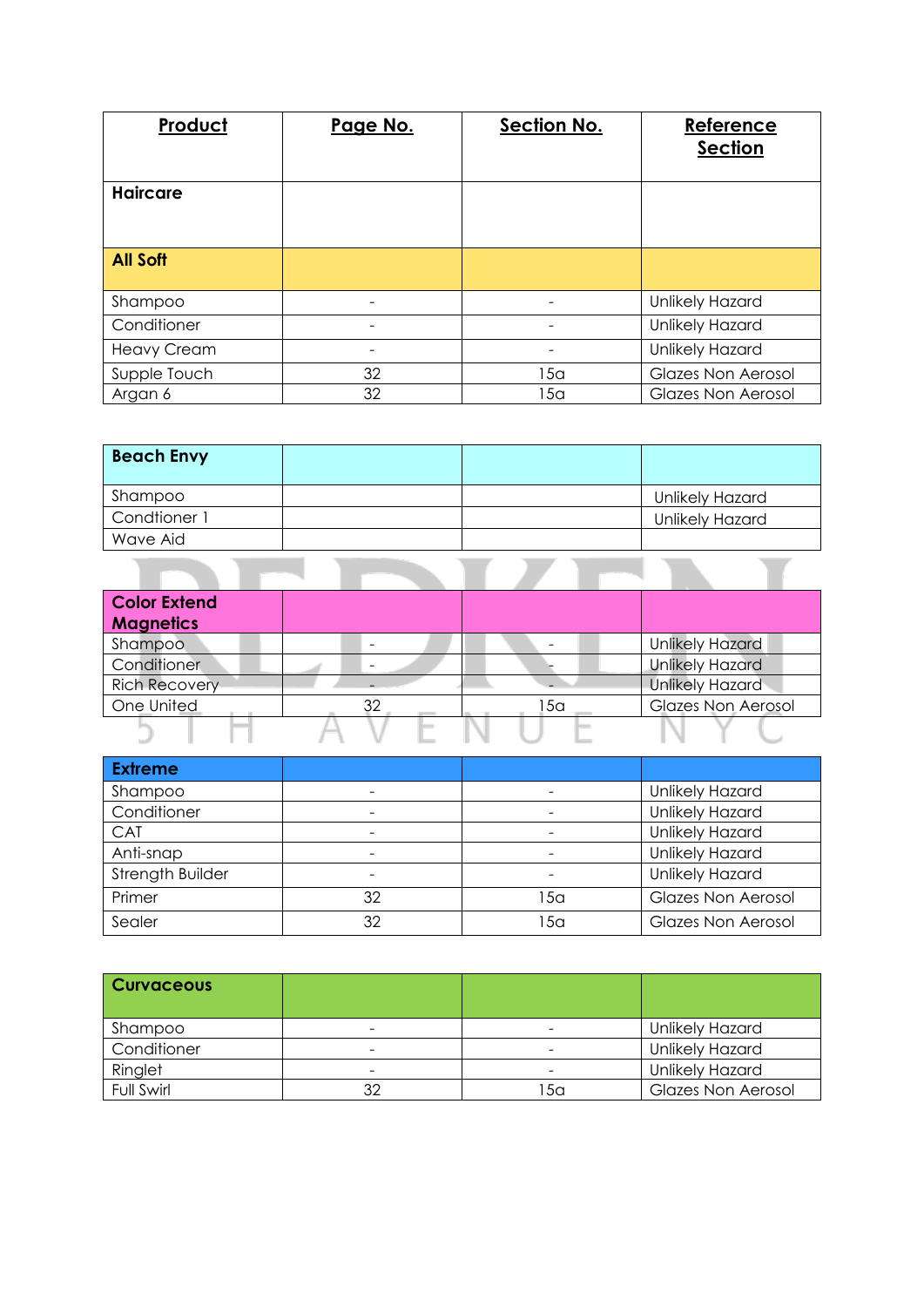| Product            | Page No. | Section No. | Reference<br><b>Section</b> |
|--------------------|----------|-------------|-----------------------------|
| <b>Haircare</b>    |          |             |                             |
| <b>All Soft</b>    |          |             |                             |
| Shampoo            |          |             | Unlikely Hazard             |
| Conditioner        |          |             | Unlikely Hazard             |
| <b>Heavy Cream</b> |          |             | Unlikely Hazard             |
| Supple Touch       | 32       | 15a         | <b>Glazes Non Aerosol</b>   |
| Argan 6            | 32       | 15a         | <b>Glazes Non Aerosol</b>   |

| <b>Beach Envy</b> |  |                 |
|-------------------|--|-----------------|
| Shampoo           |  | Unlikely Hazard |
| Condtioner 1      |  | Unlikely Hazard |
| Wave Aid          |  |                 |
|                   |  |                 |

| <b>Color Extend</b>  |    |     |                           |
|----------------------|----|-----|---------------------------|
| <b>Magnetics</b>     |    |     |                           |
| Shampoo              |    |     | <b>Unlikely Hazard</b>    |
| Conditioner          |    |     | <b>Unlikely Hazard</b>    |
| <b>Rich Recovery</b> |    |     | <b>Unlikely Hazard</b>    |
| One United           | 32 | 15a | <b>Glazes Non Aerosol</b> |
|                      |    |     |                           |

| <b>Extreme</b>   |    |     |                           |
|------------------|----|-----|---------------------------|
| Shampoo          |    |     | Unlikely Hazard           |
| Conditioner      |    |     | Unlikely Hazard           |
| <b>CAT</b>       |    |     | Unlikely Hazard           |
| Anti-snap        |    |     | Unlikely Hazard           |
| Strength Builder |    |     | Unlikely Hazard           |
| Primer           | 32 | 15a | <b>Glazes Non Aerosol</b> |
| Sealer           | 32 | 15a | <b>Glazes Non Aerosol</b> |

| <b>Curvaceous</b> |    |                              |                           |
|-------------------|----|------------------------------|---------------------------|
| Shampoo           |    | $\overline{\phantom{0}}$     | <b>Unlikely Hazard</b>    |
| Conditioner       | -  | $\qquad \qquad \blacksquare$ | <b>Unlikely Hazard</b>    |
| Ringlet           | -  | -                            | <b>Unlikely Hazard</b>    |
| Full Swirl        | 32 | 15a                          | <b>Glazes Non Aerosol</b> |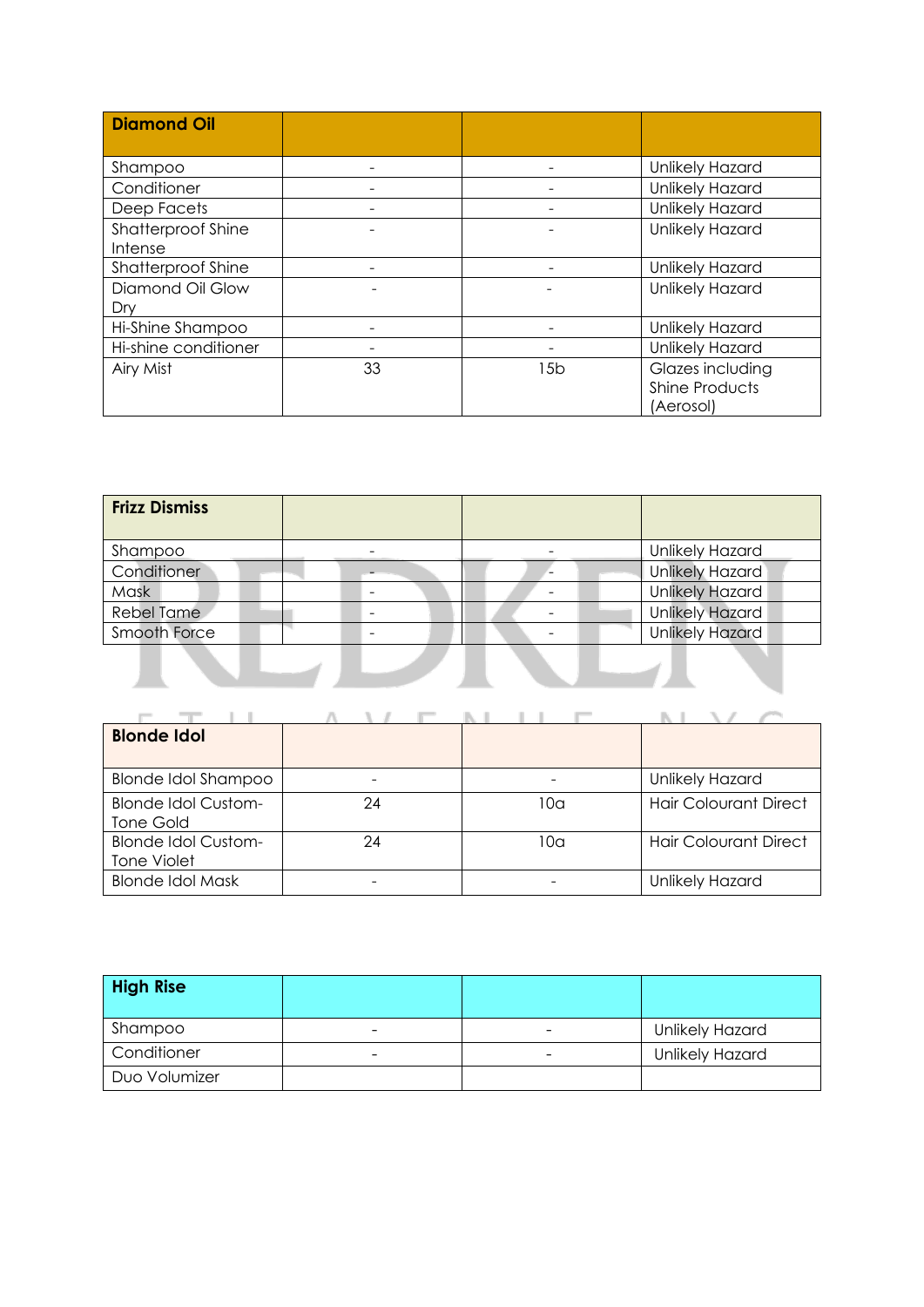| <b>Diamond Oil</b>        |    |     |                        |
|---------------------------|----|-----|------------------------|
|                           |    |     |                        |
| Shampoo                   |    |     | Unlikely Hazard        |
| Conditioner               |    |     | Unlikely Hazard        |
| Deep Facets               |    |     | <b>Unlikely Hazard</b> |
| <b>Shatterproof Shine</b> |    |     | Unlikely Hazard        |
| Intense                   |    |     |                        |
| <b>Shatterproof Shine</b> |    |     | Unlikely Hazard        |
| Diamond Oil Glow          |    |     | Unlikely Hazard        |
| Drv                       |    |     |                        |
| Hi-Shine Shampoo          |    |     | <b>Unlikely Hazard</b> |
| Hi-shine conditioner      |    |     | Unlikely Hazard        |
| Airy Mist                 | 33 | 15b | Glazes including       |
|                           |    |     | <b>Shine Products</b>  |
|                           |    |     | (Aerosol)              |

| <b>Frizz Dismiss</b> |   |                        |
|----------------------|---|------------------------|
| Shampoo              |   | Unlikely Hazard        |
| Conditioner          |   | <b>Unlikely Hazard</b> |
| Mask                 |   | <b>Unlikely Hazard</b> |
| <b>Rebel Tame</b>    | - | <b>Unlikely Hazard</b> |
| Smooth Force         |   | <b>Unlikely Hazard</b> |
|                      |   |                        |

| <b>Blonde Idol</b>                               |    |     |                              |
|--------------------------------------------------|----|-----|------------------------------|
| <b>Blonde Idol Shampoo</b>                       |    |     | <b>Unlikely Hazard</b>       |
| <b>Blonde Idol Custom-</b><br>Tone Gold          | 24 | 10a | <b>Hair Colourant Direct</b> |
| <b>Blonde Idol Custom-</b><br><b>Tone Violet</b> | 24 | 10a | <b>Hair Colourant Direct</b> |
| <b>Blonde Idol Mask</b>                          |    |     | <b>Unlikely Hazard</b>       |

| <b>High Rise</b> |   |                          |                        |
|------------------|---|--------------------------|------------------------|
| Shampoo          |   | -                        | <b>Unlikely Hazard</b> |
| Conditioner      | - | $\overline{\phantom{a}}$ | <b>Unlikely Hazard</b> |
| Duo Volumizer    |   |                          |                        |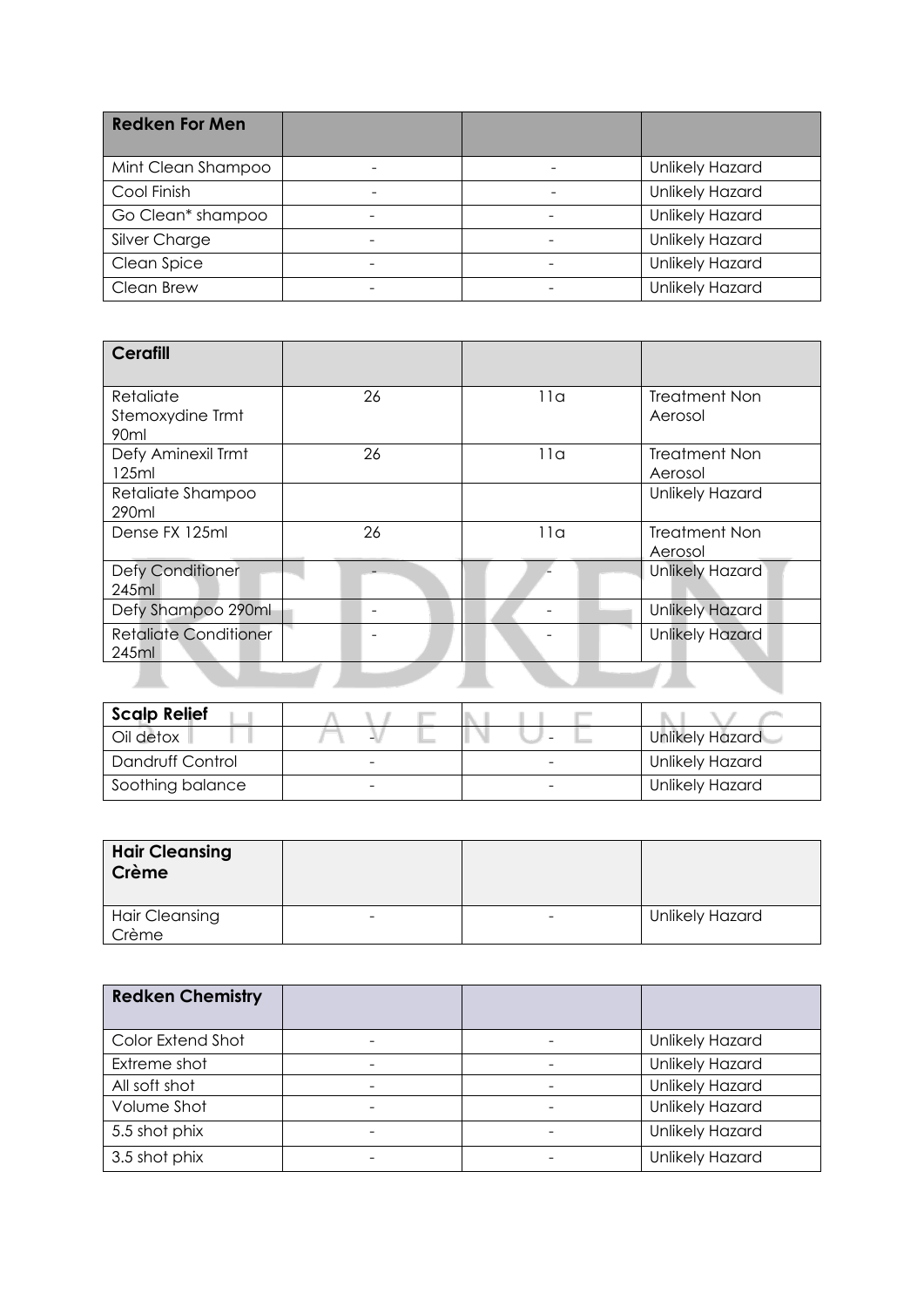| <b>Redken For Men</b> |  |                        |
|-----------------------|--|------------------------|
| Mint Clean Shampoo    |  | <b>Unlikely Hazard</b> |
| Cool Finish           |  | Unlikely Hazard        |
| Go Clean* shampoo     |  | <b>Unlikely Hazard</b> |
| Silver Charge         |  | <b>Unlikely Hazard</b> |
| Clean Spice           |  | Unlikely Hazard        |
| Clean Brew            |  | Unlikely Hazard        |

| <b>Cerafill</b>                       |    |     |                                 |
|---------------------------------------|----|-----|---------------------------------|
| Retaliate                             | 26 | 11a | <b>Treatment Non</b>            |
| Stemoxydine Trmt<br>90ml              |    |     | Aerosol                         |
| Defy Aminexil Trmt<br>125ml           | 26 | 11a | <b>Treatment Non</b><br>Aerosol |
| Retaliate Shampoo<br>290ml            |    |     | <b>Unlikely Hazard</b>          |
| Dense FX 125ml                        | 26 | 11a | <b>Treatment Non</b><br>Aerosol |
| Defy Conditioner<br>245ml             |    |     | Unlikely Hazard                 |
| Defy Shampoo 290ml                    |    |     | <b>Unlikely Hazard</b>          |
| <b>Retaliate Conditioner</b><br>245ml |    |     | <b>Unlikely Hazard</b>          |
|                                       |    |     |                                 |

| <b>Scalp Relief</b> |  |                        |
|---------------------|--|------------------------|
| Oil detox           |  | Unlikely Hazard        |
| Dandruff Control    |  | <b>Unlikely Hazard</b> |
| Soothing balance    |  | <b>Unlikely Hazard</b> |

| <b>Hair Cleansing</b><br>Crème |                              |                        |
|--------------------------------|------------------------------|------------------------|
| <b>Hair Cleansing</b><br>Crème | $\qquad \qquad \blacksquare$ | <b>Unlikely Hazard</b> |

| <b>Redken Chemistry</b> |  |                        |
|-------------------------|--|------------------------|
| Color Extend Shot       |  | <b>Unlikely Hazard</b> |
| Extreme shot            |  | Unlikely Hazard        |
| All soft shot           |  | Unlikely Hazard        |
| Volume Shot             |  | Unlikely Hazard        |
| 5.5 shot phix           |  | Unlikely Hazard        |
| 3.5 shot phix           |  | Unlikely Hazard        |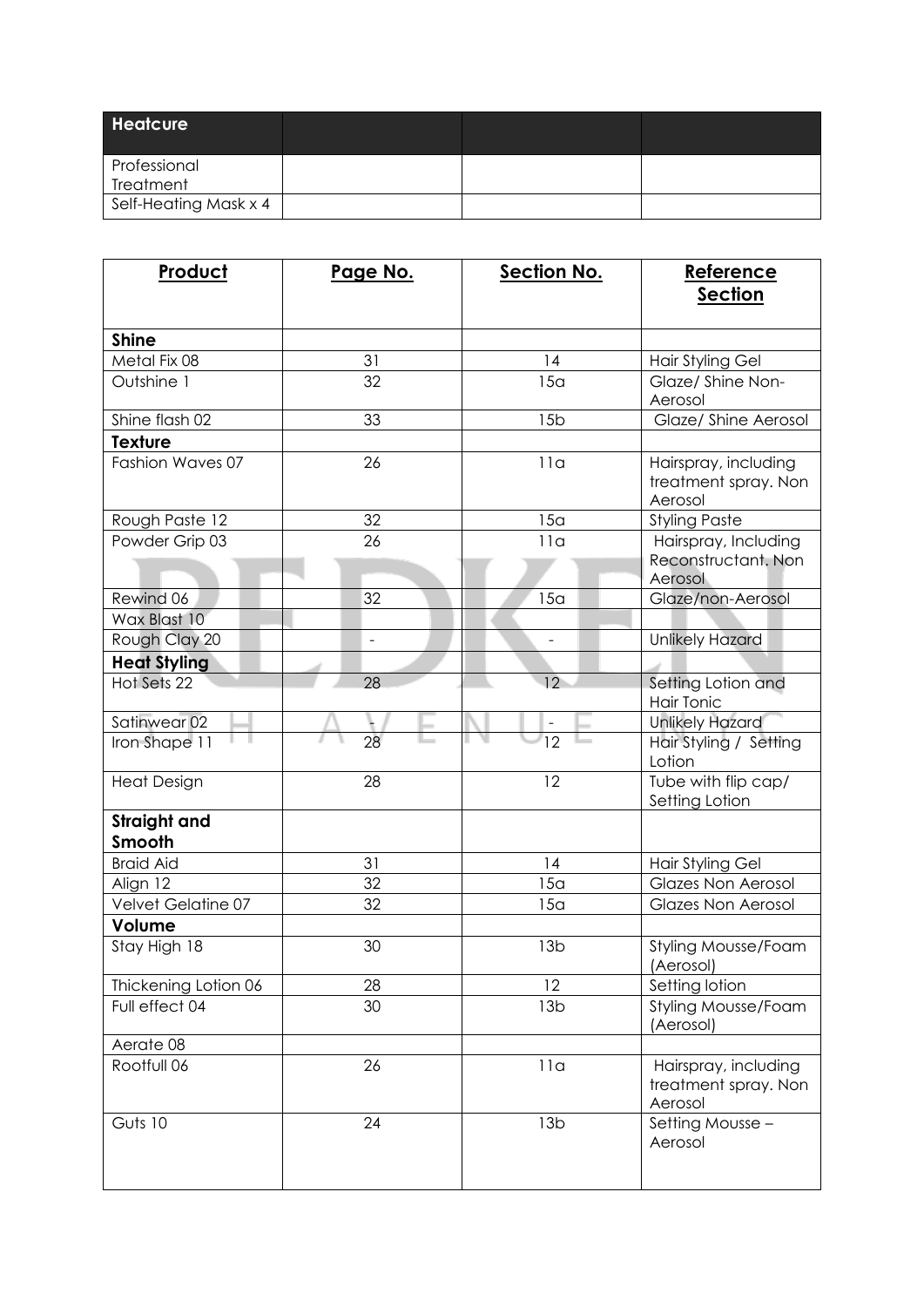| <b>Heatcure</b>       |  |  |
|-----------------------|--|--|
| Professional          |  |  |
| Treatment             |  |  |
| Self-Heating Mask x 4 |  |  |

| Product                   | Page No.       | <b>Section No.</b> | Reference<br><b>Section</b>                             |
|---------------------------|----------------|--------------------|---------------------------------------------------------|
| <b>Shine</b>              |                |                    |                                                         |
| Metal Fix 08              | 31             | 14                 | <b>Hair Styling Gel</b>                                 |
| Outshine 1                | 32             | 15a                | Glaze/ Shine Non-<br>Aerosol                            |
| Shine flash 02            | 33             | 15 <sub>b</sub>    | Glaze/ Shine Aerosol                                    |
| <b>Texture</b>            |                |                    |                                                         |
| Fashion Waves 07          | 26             | 11a                | Hairspray, including<br>treatment spray. Non<br>Aerosol |
| Rough Paste 12            | 32             | 15a                | <b>Styling Paste</b>                                    |
| Powder Grip 03            | 26             | 11a                | Hairspray, Including<br>Reconstructant. Non             |
|                           |                |                    | Aerosol                                                 |
| Rewind 06<br>Wax Blast 10 | 32             | 15 <sub>a</sub>    | Glaze/non-Aerosol                                       |
| Rough Clay 20             | $\overline{a}$ |                    | <b>Unlikely Hazard</b>                                  |
| <b>Heat Styling</b>       |                |                    |                                                         |
| Hot Sets 22               | 28             | 12                 | Setting Lotion and<br><b>Hair Tonic</b>                 |
| Satinwear 02              |                |                    | <b>Unlikely Hazard</b>                                  |
| Iron Shape 11             | 28             | $\overline{12}$    | Hair Styling / Setting<br>Lotion                        |
| <b>Heat Design</b>        | 28             | 12                 | Tube with flip cap/<br>Setting Lotion                   |
| Straight and<br>Smooth    |                |                    |                                                         |
| <b>Braid Aid</b>          | 31             | 14                 | <b>Hair Styling Gel</b>                                 |
| Align 12                  | 32             | 15 <sub>a</sub>    | <b>Glazes Non Aerosol</b>                               |
| Velvet Gelatine 07        | 32             | 15 <sub>a</sub>    | <b>Glazes Non Aerosol</b>                               |
| Volume                    |                |                    |                                                         |
| Stay High 18              | 30             | 13 <sub>b</sub>    | <b>Styling Mousse/Foam</b><br>(Aerosol)                 |
| Thickening Lotion 06      | 28             | 12                 | Setting lotion                                          |
| Full effect 04            | 30             | 13 <sub>b</sub>    | Styling Mousse/Foam<br>(Aerosol)                        |
| Aerate 08                 |                |                    |                                                         |
| Rootfull 06               | 26             | 11a                | Hairspray, including<br>treatment spray. Non<br>Aerosol |
| Guts 10                   | 24             | 13 <sub>b</sub>    | Setting Mousse -<br>Aerosol                             |